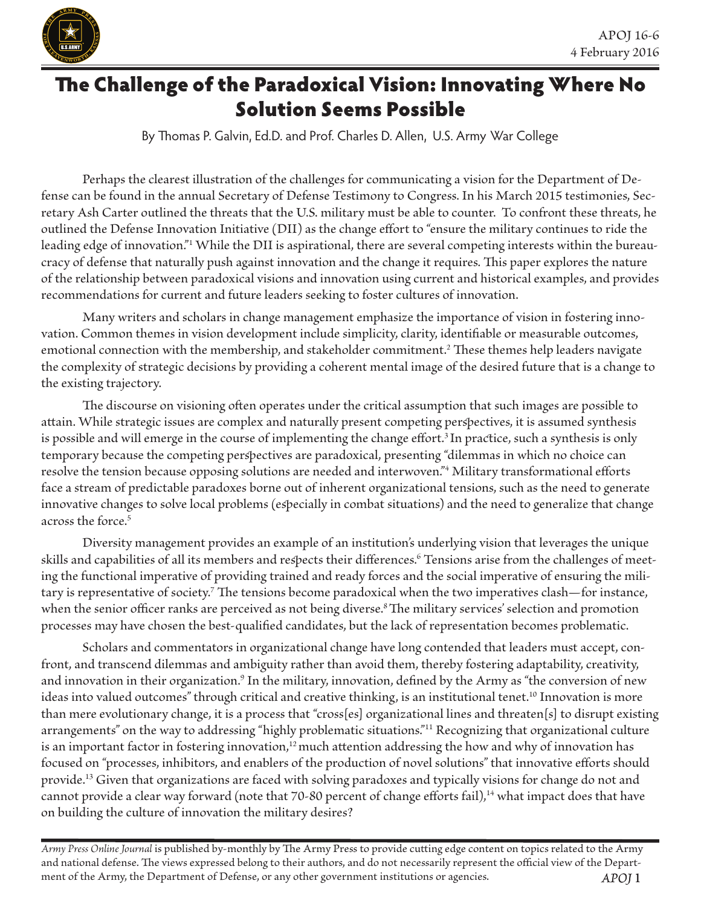

# The Challenge of the Paradoxical Vision: Innovating Where No Solution Seems Possible

By Thomas P. Galvin, Ed.D. and Prof. Charles D. Allen, U.S. Army War College

Perhaps the clearest illustration of the challenges for communicating a vision for the Department of Defense can be found in the annual Secretary of Defense Testimony to Congress. In his March 2015 testimonies, Secretary Ash Carter outlined the threats that the U.S. military must be able to counter. To confront these threats, he outlined the Defense Innovation Initiative (DII) as the change effort to "ensure the military continues to ride the leading edge of innovation."<sup>1</sup> While the DII is aspirational, there are several competing interests within the bureaucracy of defense that naturally push against innovation and the change it requires. This paper explores the nature of the relationship between paradoxical visions and innovation using current and historical examples, and provides recommendations for current and future leaders seeking to foster cultures of innovation.

Many writers and scholars in change management emphasize the importance of vision in fostering innovation. Common themes in vision development include simplicity, clarity, identifiable or measurable outcomes, emotional connection with the membership, and stakeholder commitment.<sup>2</sup> These themes help leaders navigate the complexity of strategic decisions by providing a coherent mental image of the desired future that is a change to the existing trajectory.

The discourse on visioning often operates under the critical assumption that such images are possible to attain. While strategic issues are complex and naturally present competing perspectives, it is assumed synthesis is possible and will emerge in the course of implementing the change effort.<sup>3</sup> In practice, such a synthesis is only temporary because the competing perspectives are paradoxical, presenting "dilemmas in which no choice can resolve the tension because opposing solutions are needed and interwoven."4 Military transformational efforts face a stream of predictable paradoxes borne out of inherent organizational tensions, such as the need to generate innovative changes to solve local problems (especially in combat situations) and the need to generalize that change across the force.5

Diversity management provides an example of an institution's underlying vision that leverages the unique skills and capabilities of all its members and respects their differences.<sup>6</sup> Tensions arise from the challenges of meeting the functional imperative of providing trained and ready forces and the social imperative of ensuring the military is representative of society.<sup>7</sup> The tensions become paradoxical when the two imperatives clash—for instance, when the senior officer ranks are perceived as not being diverse.<sup>8</sup> The military services' selection and promotion processes may have chosen the best-qualified candidates, but the lack of representation becomes problematic.

Scholars and commentators in organizational change have long contended that leaders must accept, confront, and transcend dilemmas and ambiguity rather than avoid them, thereby fostering adaptability, creativity, and innovation in their organization.<sup>9</sup> In the military, innovation, defined by the Army as "the conversion of new ideas into valued outcomes" through critical and creative thinking, is an institutional tenet.<sup>10</sup> Innovation is more than mere evolutionary change, it is a process that "cross[es] organizational lines and threaten[s] to disrupt existing arrangements" on the way to addressing "highly problematic situations."<sup>11</sup> Recognizing that organizational culture is an important factor in fostering innovation,<sup>12</sup> much attention addressing the how and why of innovation has focused on "processes, inhibitors, and enablers of the production of novel solutions" that innovative efforts should provide.13 Given that organizations are faced with solving paradoxes and typically visions for change do not and cannot provide a clear way forward (note that 70-80 percent of change efforts fail),<sup>14</sup> what impact does that have on building the culture of innovation the military desires?

*APOJ* 1 *Army Press Online Journal* is published by-monthly by The Army Press to provide cutting edge content on topics related to the Army and national defense. The views expressed belong to their authors, and do not necessarily represent the official view of the Department of the Army, the Department of Defense, or any other government institutions or agencies.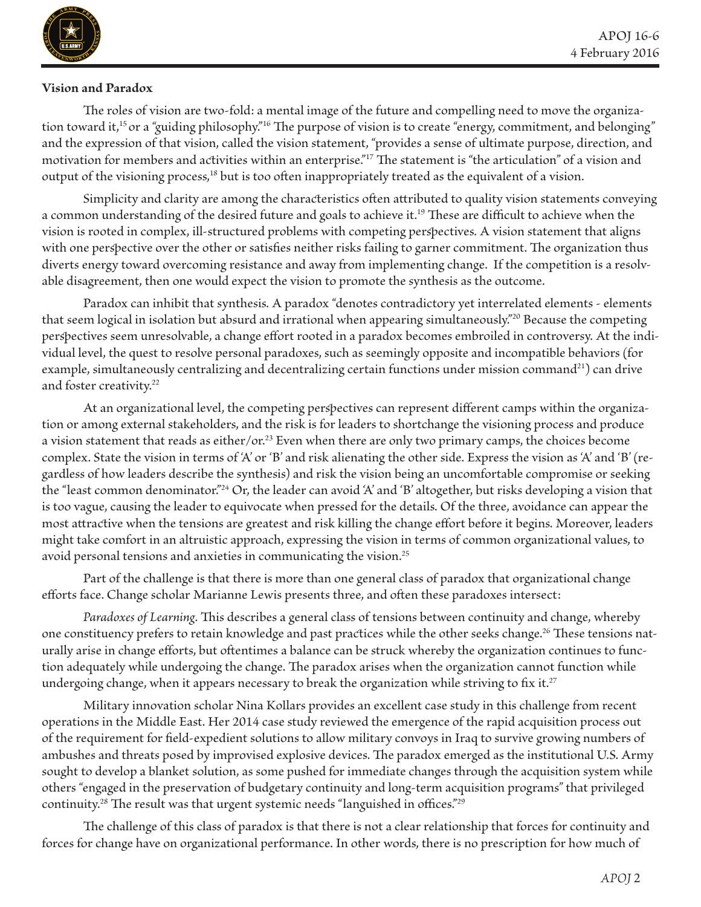

## **Vision and Paradox**

The roles of vision are two-fold: a mental image of the future and compelling need to move the organization toward it,<sup>15</sup> or a "guiding philosophy.<sup>"16</sup> The purpose of vision is to create "energy, commitment, and belonging" and the expression of that vision, called the vision statement, "provides a sense of ultimate purpose, direction, and motivation for members and activities within an enterprise."17 The statement is "the articulation" of a vision and output of the visioning process,<sup>18</sup> but is too often inappropriately treated as the equivalent of a vision.

Simplicity and clarity are among the characteristics often attributed to quality vision statements conveying a common understanding of the desired future and goals to achieve it.<sup>19</sup> These are difficult to achieve when the vision is rooted in complex, ill-structured problems with competing perspectives. A vision statement that aligns with one perspective over the other or satisfies neither risks failing to garner commitment. The organization thus diverts energy toward overcoming resistance and away from implementing change. If the competition is a resolvable disagreement, then one would expect the vision to promote the synthesis as the outcome.

Paradox can inhibit that synthesis. A paradox "denotes contradictory yet interrelated elements - elements that seem logical in isolation but absurd and irrational when appearing simultaneously."20 Because the competing perspectives seem unresolvable, a change effort rooted in a paradox becomes embroiled in controversy. At the individual level, the quest to resolve personal paradoxes, such as seemingly opposite and incompatible behaviors (for example, simultaneously centralizing and decentralizing certain functions under mission command $^{21}$ ) can drive and foster creativity.<sup>22</sup>

At an organizational level, the competing perspectives can represent different camps within the organization or among external stakeholders, and the risk is for leaders to shortchange the visioning process and produce a vision statement that reads as either/or.<sup>23</sup> Even when there are only two primary camps, the choices become complex. State the vision in terms of 'A' or 'B' and risk alienating the other side. Express the vision as 'A' and 'B' (regardless of how leaders describe the synthesis) and risk the vision being an uncomfortable compromise or seeking the "least common denominator."24 Or, the leader can avoid 'A' and 'B' altogether, but risks developing a vision that is too vague, causing the leader to equivocate when pressed for the details. Of the three, avoidance can appear the most attractive when the tensions are greatest and risk killing the change effort before it begins. Moreover, leaders might take comfort in an altruistic approach, expressing the vision in terms of common organizational values, to avoid personal tensions and anxieties in communicating the vision.<sup>25</sup>

Part of the challenge is that there is more than one general class of paradox that organizational change efforts face. Change scholar Marianne Lewis presents three, and often these paradoxes intersect:

*Paradoxes of Learning*. This describes a general class of tensions between continuity and change, whereby one constituency prefers to retain knowledge and past practices while the other seeks change.<sup>26</sup> These tensions naturally arise in change efforts, but oftentimes a balance can be struck whereby the organization continues to function adequately while undergoing the change. The paradox arises when the organization cannot function while undergoing change, when it appears necessary to break the organization while striving to fix it.<sup>27</sup>

Military innovation scholar Nina Kollars provides an excellent case study in this challenge from recent operations in the Middle East. Her 2014 case study reviewed the emergence of the rapid acquisition process out of the requirement for field-expedient solutions to allow military convoys in Iraq to survive growing numbers of ambushes and threats posed by improvised explosive devices. The paradox emerged as the institutional U.S. Army sought to develop a blanket solution, as some pushed for immediate changes through the acquisition system while others "engaged in the preservation of budgetary continuity and long-term acquisition programs" that privileged continuity.<sup>28</sup> The result was that urgent systemic needs "languished in offices."<sup>29</sup>

The challenge of this class of paradox is that there is not a clear relationship that forces for continuity and forces for change have on organizational performance. In other words, there is no prescription for how much of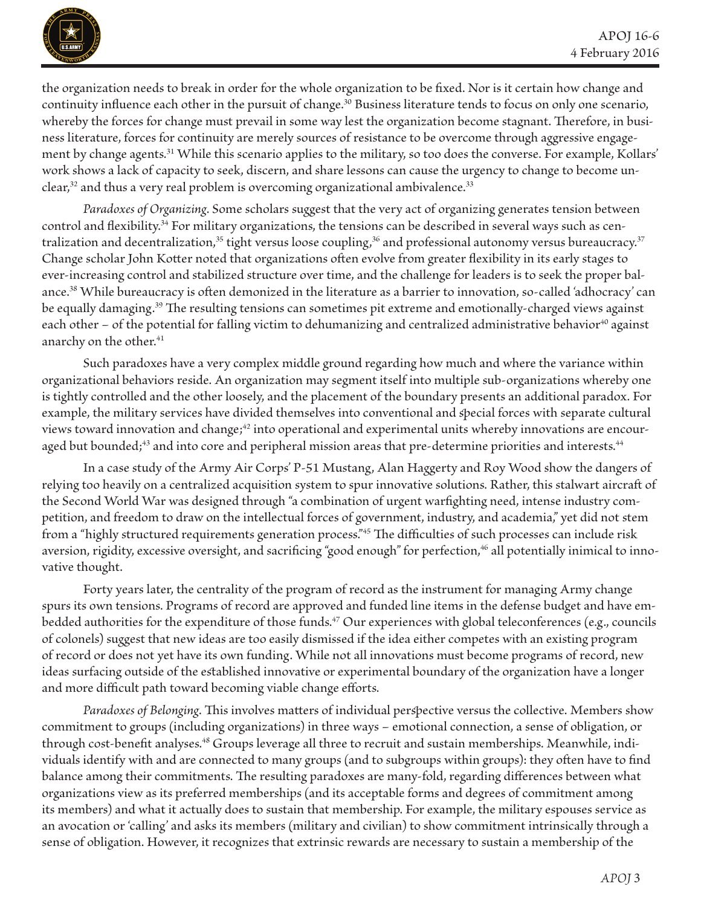

the organization needs to break in order for the whole organization to be fixed. Nor is it certain how change and continuity influence each other in the pursuit of change.<sup>30</sup> Business literature tends to focus on only one scenario, whereby the forces for change must prevail in some way lest the organization become stagnant. Therefore, in business literature, forces for continuity are merely sources of resistance to be overcome through aggressive engagement by change agents.31 While this scenario applies to the military, so too does the converse. For example, Kollars' work shows a lack of capacity to seek, discern, and share lessons can cause the urgency to change to become unclear, $32$  and thus a very real problem is overcoming organizational ambivalence. $33$ 

*Paradoxes of Organizing*. Some scholars suggest that the very act of organizing generates tension between control and flexibility.<sup>34</sup> For military organizations, the tensions can be described in several ways such as centralization and decentralization,<sup>35</sup> tight versus loose coupling,<sup>36</sup> and professional autonomy versus bureaucracy.<sup>37</sup> Change scholar John Kotter noted that organizations often evolve from greater flexibility in its early stages to ever-increasing control and stabilized structure over time, and the challenge for leaders is to seek the proper balance.<sup>38</sup> While bureaucracy is often demonized in the literature as a barrier to innovation, so-called 'adhocracy' can be equally damaging.39 The resulting tensions can sometimes pit extreme and emotionally-charged views against each other – of the potential for falling victim to dehumanizing and centralized administrative behavior<sup>40</sup> against anarchy on the other.<sup>41</sup>

Such paradoxes have a very complex middle ground regarding how much and where the variance within organizational behaviors reside. An organization may segment itself into multiple sub-organizations whereby one is tightly controlled and the other loosely, and the placement of the boundary presents an additional paradox. For example, the military services have divided themselves into conventional and special forces with separate cultural views toward innovation and change;<sup>42</sup> into operational and experimental units whereby innovations are encouraged but bounded;<sup>43</sup> and into core and peripheral mission areas that pre-determine priorities and interests.<sup>44</sup>

In a case study of the Army Air Corps' P-51 Mustang, Alan Haggerty and Roy Wood show the dangers of relying too heavily on a centralized acquisition system to spur innovative solutions. Rather, this stalwart aircraft of the Second World War was designed through "a combination of urgent warfighting need, intense industry competition, and freedom to draw on the intellectual forces of government, industry, and academia," yet did not stem from a "highly structured requirements generation process."<sup>45</sup> The difficulties of such processes can include risk aversion, rigidity, excessive oversight, and sacrificing "good enough" for perfection,<sup>46</sup> all potentially inimical to innovative thought.

Forty years later, the centrality of the program of record as the instrument for managing Army change spurs its own tensions. Programs of record are approved and funded line items in the defense budget and have embedded authorities for the expenditure of those funds.47 Our experiences with global teleconferences (e.g., councils of colonels) suggest that new ideas are too easily dismissed if the idea either competes with an existing program of record or does not yet have its own funding. While not all innovations must become programs of record, new ideas surfacing outside of the established innovative or experimental boundary of the organization have a longer and more difficult path toward becoming viable change efforts.

*Paradoxes of Belonging*. This involves matters of individual perspective versus the collective. Members show commitment to groups (including organizations) in three ways – emotional connection, a sense of obligation, or through cost-benefit analyses.<sup>48</sup> Groups leverage all three to recruit and sustain memberships. Meanwhile, individuals identify with and are connected to many groups (and to subgroups within groups): they often have to find balance among their commitments. The resulting paradoxes are many-fold, regarding differences between what organizations view as its preferred memberships (and its acceptable forms and degrees of commitment among its members) and what it actually does to sustain that membership. For example, the military espouses service as an avocation or 'calling' and asks its members (military and civilian) to show commitment intrinsically through a sense of obligation. However, it recognizes that extrinsic rewards are necessary to sustain a membership of the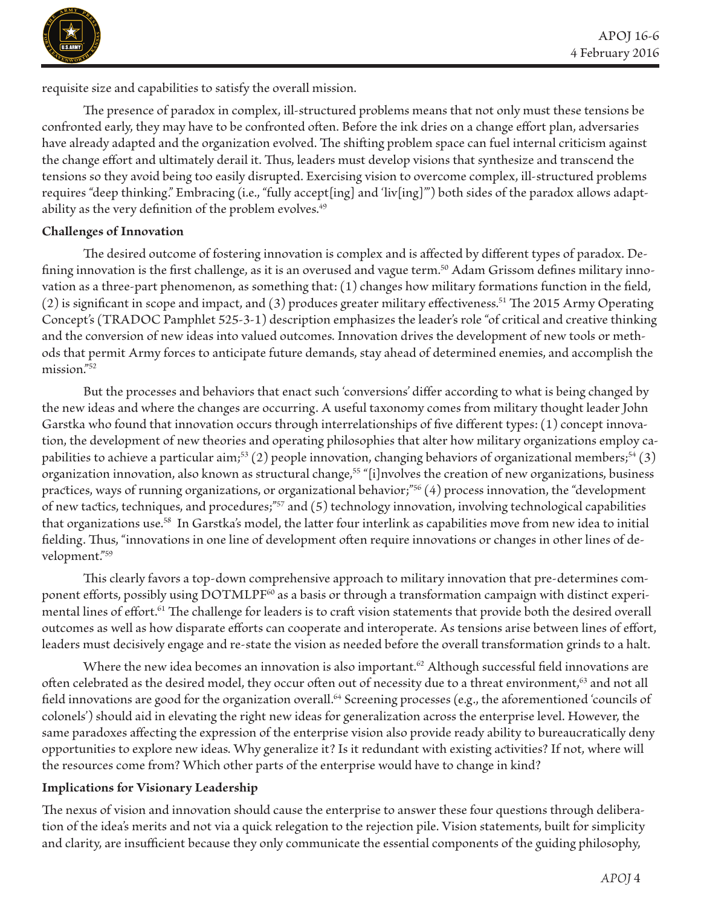

requisite size and capabilities to satisfy the overall mission.

The presence of paradox in complex, ill-structured problems means that not only must these tensions be confronted early, they may have to be confronted often. Before the ink dries on a change effort plan, adversaries have already adapted and the organization evolved. The shifting problem space can fuel internal criticism against the change effort and ultimately derail it. Thus, leaders must develop visions that synthesize and transcend the tensions so they avoid being too easily disrupted. Exercising vision to overcome complex, ill-structured problems requires "deep thinking." Embracing (i.e., "fully accept[ing] and 'liv[ing]'") both sides of the paradox allows adaptability as the very definition of the problem evolves. $49$ 

#### **Challenges of Innovation**

The desired outcome of fostering innovation is complex and is affected by different types of paradox. Defining innovation is the first challenge, as it is an overused and vague term.<sup>50</sup> Adam Grissom defines military innovation as a three-part phenomenon, as something that: (1) changes how military formations function in the field,  $(2)$  is significant in scope and impact, and  $(3)$  produces greater military effectiveness.<sup>51</sup> The 2015 Army Operating Concept's (TRADOC Pamphlet 525-3-1) description emphasizes the leader's role "of critical and creative thinking and the conversion of new ideas into valued outcomes. Innovation drives the development of new tools or methods that permit Army forces to anticipate future demands, stay ahead of determined enemies, and accomplish the mission."52

But the processes and behaviors that enact such 'conversions' differ according to what is being changed by the new ideas and where the changes are occurring. A useful taxonomy comes from military thought leader John Garstka who found that innovation occurs through interrelationships of five different types: (1) concept innovation, the development of new theories and operating philosophies that alter how military organizations employ capabilities to achieve a particular aim;<sup>53</sup> (2) people innovation, changing behaviors of organizational members;<sup>54</sup> (3) organization innovation, also known as structural change,<sup>55</sup> "[i]nvolves the creation of new organizations, business practices, ways of running organizations, or organizational behavior;"56 (4) process innovation, the "development of new tactics, techniques, and procedures;"57 and (5) technology innovation, involving technological capabilities that organizations use.<sup>58</sup> In Garstka's model, the latter four interlink as capabilities move from new idea to initial fielding. Thus, "innovations in one line of development often require innovations or changes in other lines of development."59

This clearly favors a top-down comprehensive approach to military innovation that pre-determines component efforts, possibly using DOTMLPF<sup>60</sup> as a basis or through a transformation campaign with distinct experimental lines of effort.61 The challenge for leaders is to craft vision statements that provide both the desired overall outcomes as well as how disparate efforts can cooperate and interoperate. As tensions arise between lines of effort, leaders must decisively engage and re-state the vision as needed before the overall transformation grinds to a halt.

Where the new idea becomes an innovation is also important.<sup>62</sup> Although successful field innovations are often celebrated as the desired model, they occur often out of necessity due to a threat environment,<sup>63</sup> and not all field innovations are good for the organization overall.<sup>64</sup> Screening processes (e.g., the aforementioned 'councils of colonels') should aid in elevating the right new ideas for generalization across the enterprise level. However, the same paradoxes affecting the expression of the enterprise vision also provide ready ability to bureaucratically deny opportunities to explore new ideas. Why generalize it? Is it redundant with existing activities? If not, where will the resources come from? Which other parts of the enterprise would have to change in kind?

### **Implications for Visionary Leadership**

The nexus of vision and innovation should cause the enterprise to answer these four questions through deliberation of the idea's merits and not via a quick relegation to the rejection pile. Vision statements, built for simplicity and clarity, are insufficient because they only communicate the essential components of the guiding philosophy,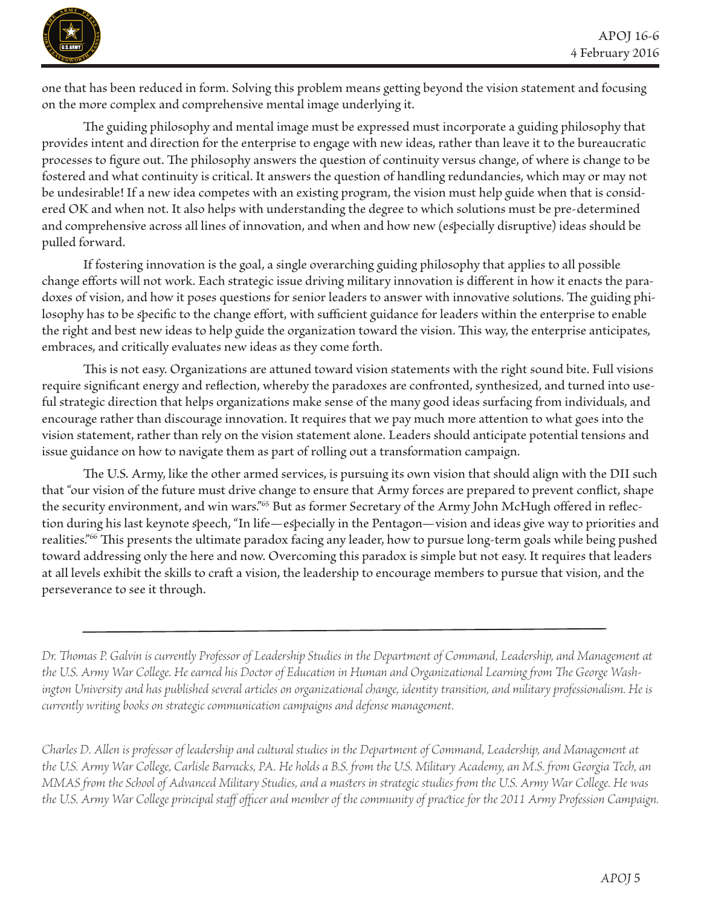

one that has been reduced in form. Solving this problem means getting beyond the vision statement and focusing on the more complex and comprehensive mental image underlying it.

The guiding philosophy and mental image must be expressed must incorporate a guiding philosophy that provides intent and direction for the enterprise to engage with new ideas, rather than leave it to the bureaucratic processes to figure out. The philosophy answers the question of continuity versus change, of where is change to be fostered and what continuity is critical. It answers the question of handling redundancies, which may or may not be undesirable! If a new idea competes with an existing program, the vision must help guide when that is considered OK and when not. It also helps with understanding the degree to which solutions must be pre-determined and comprehensive across all lines of innovation, and when and how new (especially disruptive) ideas should be pulled forward.

If fostering innovation is the goal, a single overarching guiding philosophy that applies to all possible change efforts will not work. Each strategic issue driving military innovation is different in how it enacts the paradoxes of vision, and how it poses questions for senior leaders to answer with innovative solutions. The guiding philosophy has to be specific to the change effort, with sufficient guidance for leaders within the enterprise to enable the right and best new ideas to help guide the organization toward the vision. This way, the enterprise anticipates, embraces, and critically evaluates new ideas as they come forth.

This is not easy. Organizations are attuned toward vision statements with the right sound bite. Full visions require significant energy and reflection, whereby the paradoxes are confronted, synthesized, and turned into useful strategic direction that helps organizations make sense of the many good ideas surfacing from individuals, and encourage rather than discourage innovation. It requires that we pay much more attention to what goes into the vision statement, rather than rely on the vision statement alone. Leaders should anticipate potential tensions and issue guidance on how to navigate them as part of rolling out a transformation campaign.

The U.S. Army, like the other armed services, is pursuing its own vision that should align with the DII such that "our vision of the future must drive change to ensure that Army forces are prepared to prevent conflict, shape the security environment, and win wars."<sup>65</sup> But as former Secretary of the Army John McHugh offered in reflection during his last keynote speech, "In life—especially in the Pentagon—vision and ideas give way to priorities and realities."66 This presents the ultimate paradox facing any leader, how to pursue long-term goals while being pushed toward addressing only the here and now. Overcoming this paradox is simple but not easy. It requires that leaders at all levels exhibit the skills to craft a vision, the leadership to encourage members to pursue that vision, and the perseverance to see it through.

*Dr. Thomas P. Galvin is currently Professor of Leadership Studies in the Department of Command, Leadership, and Management at the U.S. Army War College. He earned his Doctor of Education in Human and Organizational Learning from The George Washington University and has published several articles on organizational change, identity transition, and military professionalism. He is currently writing books on strategic communication campaigns and defense management.*

*Charles D. Allen is professor of leadership and cultural studies in the Department of Command, Leadership, and Management at the U.S. Army War College, Carlisle Barracks, PA. He holds a B.S. from the U.S. Military Academy, an M.S. from Georgia Tech, an MMAS from the School of Advanced Military Studies, and a masters in strategic studies from the U.S. Army War College. He was the U.S. Army War College principal staff officer and member of the community of practice for the 2011 Army Profession Campaign.*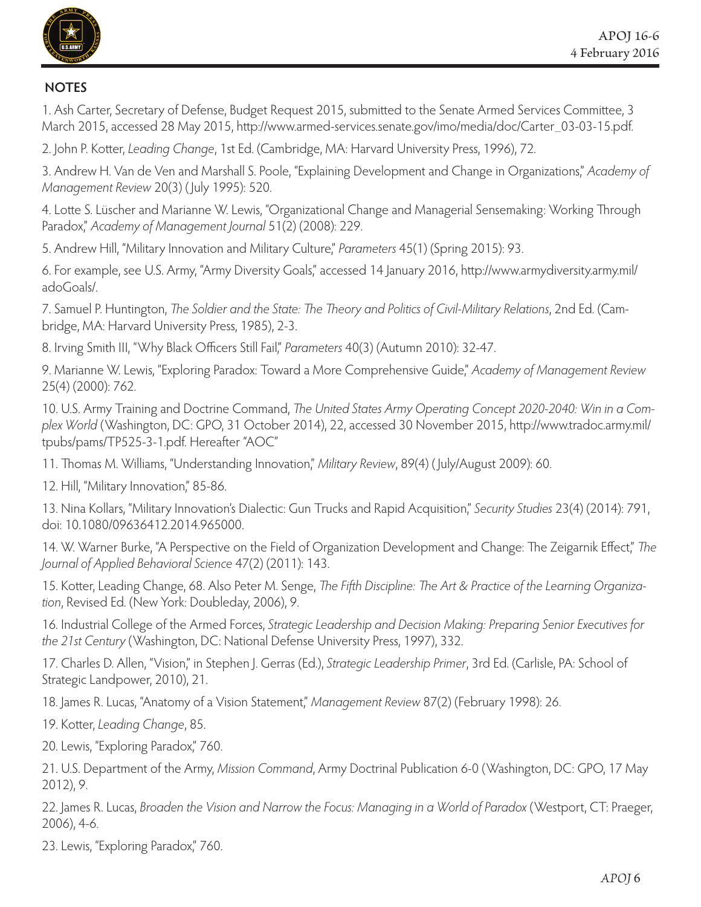

# **NOTES**

1. Ash Carter, Secretary of Defense, Budget Request 2015, submitted to the Senate Armed Services Committee, 3 March 2015, accessed 28 May 2015, http://www.armed-services.senate.gov/imo/media/doc/Carter\_03-03-15.pdf.

2. John P. Kotter, *Leading Change*, 1st Ed. (Cambridge, MA: Harvard University Press, 1996), 72.

3. Andrew H. Van de Ven and Marshall S. Poole, "Explaining Development and Change in Organizations," *Academy of Management Review* 20(3) ( July 1995): 520.

4. Lotte S. Lüscher and Marianne W. Lewis, "Organizational Change and Managerial Sensemaking: Working Through Paradox," *Academy of Management Journal* 51(2) (2008): 229.

5. Andrew Hill, "Military Innovation and Military Culture," *Parameters* 45(1) (Spring 2015): 93.

6. For example, see U.S. Army, "Army Diversity Goals," accessed 14 January 2016, http://www.armydiversity.army.mil/ adoGoals/.

7. Samuel P. Huntington, *The Soldier and the State: The Theory and Politics of Civil-Military Relations*, 2nd Ed. (Cambridge, MA: Harvard University Press, 1985), 2-3.

8. Irving Smith III, "Why Black Officers Still Fail," *Parameters* 40(3) (Autumn 2010): 32-47.

9. Marianne W. Lewis, "Exploring Paradox: Toward a More Comprehensive Guide," *Academy of Management Review* 25(4) (2000): 762.

10. U.S. Army Training and Doctrine Command, *The United States Army Operating Concept 2020-2040: Win in a Complex World* (Washington, DC: GPO, 31 October 2014), 22, accessed 30 November 2015, http://www.tradoc.army.mil/ tpubs/pams/TP525-3-1.pdf. Hereafter "AOC"

11. Thomas M. Williams, "Understanding Innovation," *Military Review*, 89(4) ( July/August 2009): 60.

12. Hill, "Military Innovation," 85-86.

13. Nina Kollars, "Military Innovation's Dialectic: Gun Trucks and Rapid Acquisition," *Security Studies* 23(4) (2014): 791, doi: 10.1080/09636412.2014.965000.

14. W. Warner Burke, "A Perspective on the Field of Organization Development and Change: The Zeigarnik Effect," *The Journal of Applied Behavioral Science* 47(2) (2011): 143.

15. Kotter, Leading Change, 68. Also Peter M. Senge, *The Fifth Discipline: The Art & Practice of the Learning Organization*, Revised Ed. (New York: Doubleday, 2006), 9.

16. Industrial College of the Armed Forces, *Strategic Leadership and Decision Making: Preparing Senior Executives for the 21st Century* (Washington, DC: National Defense University Press, 1997), 332.

17. Charles D. Allen, "Vision," in Stephen J. Gerras (Ed.), *Strategic Leadership Primer*, 3rd Ed. (Carlisle, PA: School of Strategic Landpower, 2010), 21.

18. James R. Lucas, "Anatomy of a Vision Statement," *Management Review* 87(2) (February 1998): 26.

19. Kotter, *Leading Change*, 85.

20. Lewis, "Exploring Paradox," 760.

21. U.S. Department of the Army, *Mission Command*, Army Doctrinal Publication 6-0 (Washington, DC: GPO, 17 May 2012), 9.

22. James R. Lucas, *Broaden the Vision and Narrow the Focus: Managing in a World of Paradox* (Westport, CT: Praeger, 2006), 4-6.

23. Lewis, "Exploring Paradox," 760.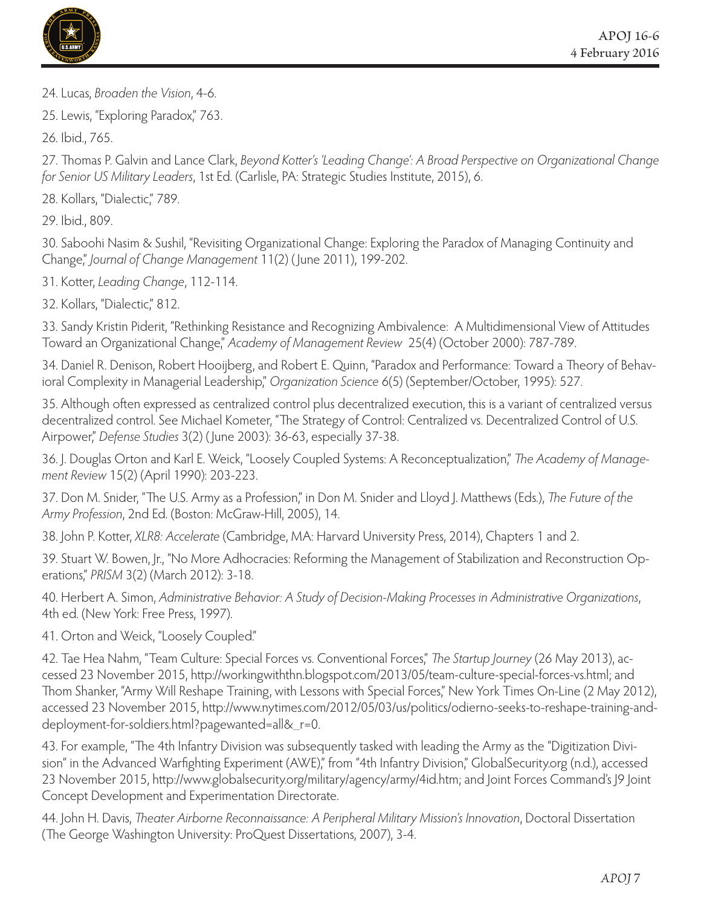

24. Lucas, *Broaden the Vision*, 4-6.

25. Lewis, "Exploring Paradox," 763.

26. Ibid., 765.

27. Thomas P. Galvin and Lance Clark, *Beyond Kotter's 'Leading Change': A Broad Perspective on Organizational Change for Senior US Military Leaders*, 1st Ed. (Carlisle, PA: Strategic Studies Institute, 2015), 6.

28. Kollars, "Dialectic," 789.

29. Ibid., 809.

30. Saboohi Nasim & Sushil, "Revisiting Organizational Change: Exploring the Paradox of Managing Continuity and Change," *Journal of Change Management* 11(2) ( June 2011), 199-202.

31. Kotter, *Leading Change*, 112-114.

32. Kollars, "Dialectic," 812.

33. Sandy Kristin Piderit, "Rethinking Resistance and Recognizing Ambivalence: A Multidimensional View of Attitudes Toward an Organizational Change," *Academy of Management Review* 25(4) (October 2000): 787-789.

34. Daniel R. Denison, Robert Hooijberg, and Robert E. Quinn, "Paradox and Performance: Toward a Theory of Behavioral Complexity in Managerial Leadership," *Organization Science* 6(5) (September/October, 1995): 527.

35. Although often expressed as centralized control plus decentralized execution, this is a variant of centralized versus decentralized control. See Michael Kometer, "The Strategy of Control: Centralized vs. Decentralized Control of U.S. Airpower," *Defense Studies* 3(2) ( June 2003): 36-63, especially 37-38.

36. J. Douglas Orton and Karl E. Weick, "Loosely Coupled Systems: A Reconceptualization," *The Academy of Management Review* 15(2) (April 1990): 203-223.

37. Don M. Snider, "The U.S. Army as a Profession," in Don M. Snider and Lloyd J. Matthews (Eds.), *The Future of the Army Profession*, 2nd Ed. (Boston: McGraw-Hill, 2005), 14.

38. John P. Kotter, *XLR8: Accelerate* (Cambridge, MA: Harvard University Press, 2014), Chapters 1 and 2.

39. Stuart W. Bowen, Jr., "No More Adhocracies: Reforming the Management of Stabilization and Reconstruction Operations," *PRISM* 3(2) (March 2012): 3-18.

40. Herbert A. Simon, *Administrative Behavior: A Study of Decision-Making Processes in Administrative Organizations*, 4th ed. (New York: Free Press, 1997).

41. Orton and Weick, "Loosely Coupled."

42. Tae Hea Nahm, "Team Culture: Special Forces vs. Conventional Forces," *The Startup Journey* (26 May 2013), accessed 23 November 2015, http://workingwiththn.blogspot.com/2013/05/team-culture-special-forces-vs.html; and Thom Shanker, "Army Will Reshape Training, with Lessons with Special Forces," New York Times On-Line (2 May 2012), accessed 23 November 2015, http://www.nytimes.com/2012/05/03/us/politics/odierno-seeks-to-reshape-training-anddeployment-for-soldiers.html?pagewanted=all&\_r=0.

43. For example, "The 4th Infantry Division was subsequently tasked with leading the Army as the "Digitization Division" in the Advanced Warfighting Experiment (AWE)," from "4th Infantry Division," GlobalSecurity.org (n.d.), accessed 23 November 2015, http://www.globalsecurity.org/military/agency/army/4id.htm; and Joint Forces Command's J9 Joint Concept Development and Experimentation Directorate.

44. John H. Davis, *Theater Airborne Reconnaissance: A Peripheral Military Mission's Innovation*, Doctoral Dissertation (The George Washington University: ProQuest Dissertations, 2007), 3-4.